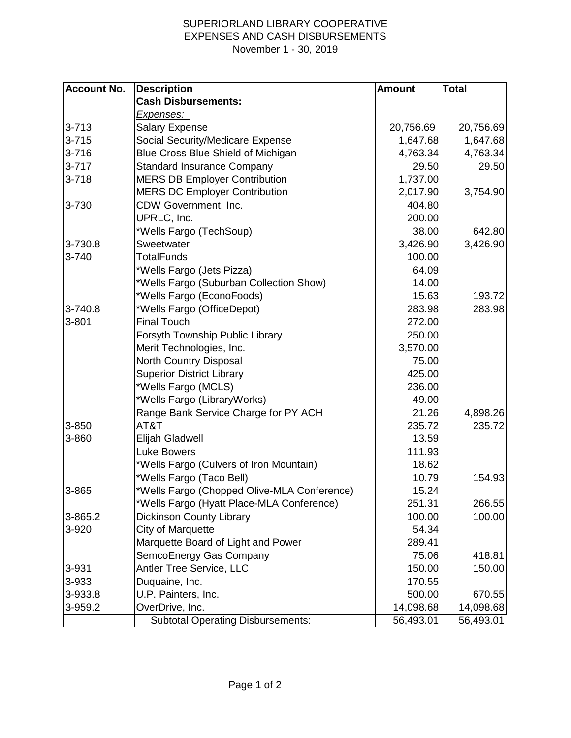## SUPERIORLAND LIBRARY COOPERATIVE EXPENSES AND CASH DISBURSEMENTS November 1 - 30, 2019

| <b>Account No.</b> | <b>Description</b>                          | <b>Amount</b> | <b>Total</b> |
|--------------------|---------------------------------------------|---------------|--------------|
|                    | <b>Cash Disbursements:</b>                  |               |              |
|                    | <u>Expenses: </u>                           |               |              |
| $3 - 713$          | <b>Salary Expense</b>                       | 20,756.69     | 20,756.69    |
| $3 - 715$          | Social Security/Medicare Expense            | 1,647.68      | 1,647.68     |
| $3 - 716$          | Blue Cross Blue Shield of Michigan          | 4,763.34      | 4,763.34     |
| $3 - 717$          | <b>Standard Insurance Company</b>           | 29.50         | 29.50        |
| $3 - 718$          | <b>MERS DB Employer Contribution</b>        | 1,737.00      |              |
|                    | <b>MERS DC Employer Contribution</b>        | 2,017.90      | 3,754.90     |
| 3-730              | CDW Government, Inc.                        | 404.80        |              |
|                    | UPRLC, Inc.                                 | 200.00        |              |
|                    | *Wells Fargo (TechSoup)                     | 38.00         | 642.80       |
| 3-730.8            | Sweetwater                                  | 3,426.90      | 3,426.90     |
| 3-740              | <b>TotalFunds</b>                           | 100.00        |              |
|                    | *Wells Fargo (Jets Pizza)                   | 64.09         |              |
|                    | *Wells Fargo (Suburban Collection Show)     | 14.00         |              |
|                    | *Wells Fargo (EconoFoods)                   | 15.63         | 193.72       |
| 3-740.8            | *Wells Fargo (OfficeDepot)                  | 283.98        | 283.98       |
| $3 - 801$          | <b>Final Touch</b>                          | 272.00        |              |
|                    | Forsyth Township Public Library             | 250.00        |              |
|                    | Merit Technologies, Inc.                    | 3,570.00      |              |
|                    | North Country Disposal                      | 75.00         |              |
|                    | <b>Superior District Library</b>            | 425.00        |              |
|                    | *Wells Fargo (MCLS)                         | 236.00        |              |
|                    | *Wells Fargo (LibraryWorks)                 | 49.00         |              |
|                    | Range Bank Service Charge for PY ACH        | 21.26         | 4,898.26     |
| 3-850              | AT&T                                        | 235.72        | 235.72       |
| 3-860              | Elijah Gladwell                             | 13.59         |              |
|                    | <b>Luke Bowers</b>                          | 111.93        |              |
|                    | *Wells Fargo (Culvers of Iron Mountain)     | 18.62         |              |
|                    | *Wells Fargo (Taco Bell)                    | 10.79         | 154.93       |
| 3-865              | *Wells Fargo (Chopped Olive-MLA Conference) | 15.24         |              |
|                    | *Wells Fargo (Hyatt Place-MLA Conference)   | 251.31        | 266.55       |
| 3-865.2            | <b>Dickinson County Library</b>             | 100.00        | 100.00       |
| 3-920              | City of Marquette                           | 54.34         |              |
|                    | Marquette Board of Light and Power          | 289.41        |              |
|                    | SemcoEnergy Gas Company                     | 75.06         | 418.81       |
| 3-931              | Antler Tree Service, LLC                    | 150.00        | 150.00       |
| 3-933              | Duquaine, Inc.                              | 170.55        |              |
| 3-933.8            | U.P. Painters, Inc.                         | 500.00        | 670.55       |
| 3-959.2            | OverDrive, Inc.                             | 14,098.68     | 14,098.68    |
|                    | <b>Subtotal Operating Disbursements:</b>    | 56,493.01     | 56,493.01    |